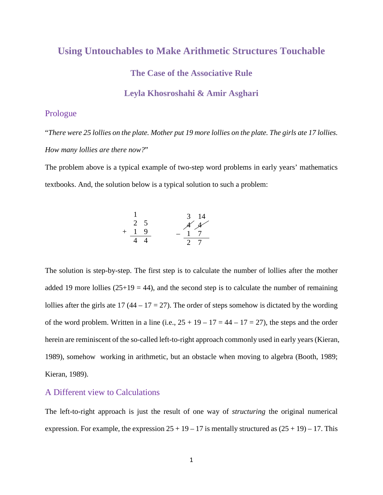# **Using Untouchables to Make Arithmetic Structures Touchable The Case of the Associative Rule**

#### **Leyla Khosroshahi & Amir Asghari**

#### Prologue

"*There were 25 lollies on the plate. Mother put 19 more lollies on the plate. The girls ate 17 lollies. How many lollies are there now?*"

The problem above is a typical example of two-step word problems in early years' mathematics textbooks. And, the solution below is a typical solution to such a problem:

$$
\begin{array}{ccc}\n1 & 3 & 14 \\
2 & 5 & \cancel{44} \\
+ & 1 & 9 \\
\hline\n4 & 4 & - & 1 & 7 \\
\end{array}
$$

The solution is step-by-step. The first step is to calculate the number of lollies after the mother added 19 more lollies  $(25+19 = 44)$ , and the second step is to calculate the number of remaining lollies after the girls ate  $17(44 - 17 = 27)$ . The order of steps somehow is dictated by the wording of the word problem. Written in a line (i.e.,  $25 + 19 - 17 = 44 - 17 = 27$ ), the steps and the order herein are reminiscent of the so-called left-to-right approach commonly used in early years (Kieran, 1989), somehow working in arithmetic, but an obstacle when moving to algebra (Booth, 1989; Kieran, 1989).

#### A Different view to Calculations

The left-to-right approach is just the result of one way of *structuring* the original numerical expression. For example, the expression  $25 + 19 - 17$  is mentally structured as  $(25 + 19) - 17$ . This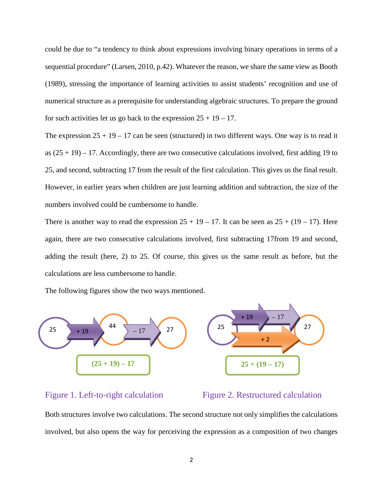could be due to "a tendency to think about expressions involving binary operations in terms of a sequential procedure" (Larsen, 2010, p.42). Whatever the reason, we share the same view as Booth (1989), stressing the importance of learning activities to assist students' recognition and use of numerical structure as a prerequisite for understanding algebraic structures. To prepare the ground for such activities let us go back to the expression  $25 + 19 - 17$ .

The expression  $25 + 19 - 17$  can be seen (structured) in two different ways. One way is to read it as  $(25 + 19) - 17$ . Accordingly, there are two consecutive calculations involved, first adding 19 to 25, and second, subtracting 17 from the result of the first calculation. This gives us the final result. However, in earlier years when children are just learning addition and subtraction, the size of the numbers involved could be cumbersome to handle.

There is another way to read the expression  $25 + 19 - 17$ . It can be seen as  $25 + (19 - 17)$ . Here again, there are two consecutive calculations involved, first subtracting 17from 19 and second, adding the result (here, 2) to 25. Of course, this gives us the same result as before, but the calculations are less cumbersome to handle.

The following figures show the two ways mentioned.



#### Figure 1. Left-to-right calculation Figure 2. Restructured calculation

Both structures involve two calculations. The second structure not only simplifies the calculations involved, but also opens the way for perceiving the expression as a composition of two changes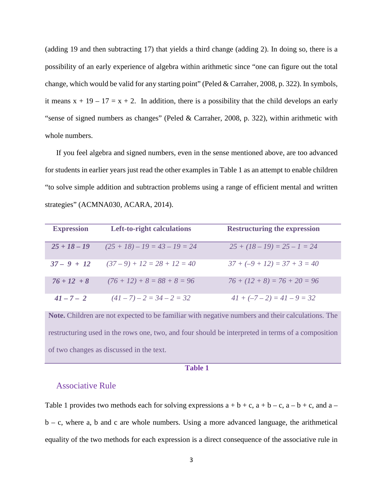(adding 19 and then subtracting 17) that yields a third change (adding 2). In doing so, there is a possibility of an early experience of algebra within arithmetic since "one can figure out the total change, which would be valid for any starting point" (Peled & Carraher, 2008, p. 322). In symbols, it means  $x + 19 - 17 = x + 2$ . In addition, there is a possibility that the child develops an early "sense of signed numbers as changes" (Peled & Carraher, 2008, p. 322), within arithmetic with whole numbers.

If you feel algebra and signed numbers, even in the sense mentioned above, are too advanced for students in earlier years just read the other examples in Table 1 as an attempt to enable children "to solve simple addition and subtraction problems using a range of efficient mental and written strategies" (ACMNA030, ACARA, 2014).

| <b>Expression</b> | <b>Left-to-right calculations</b> | <b>Restructuring the expression</b> |
|-------------------|-----------------------------------|-------------------------------------|
| $25 + 18 - 19$    | $(25 + 18) - 19 = 43 - 19 = 24$   | $25 + (18 - 19) = 25 - 1 = 24$      |
| $37 - 9 + 12$     | $(37-9) + 12 = 28 + 12 = 40$      | $37 + (-9 + 12) = 37 + 3 = 40$      |
| $76 + 12 + 8$     | $(76 + 12) + 8 = 88 + 8 = 96$     | $76 + (12 + 8) = 76 + 20 = 96$      |
| $41 - 7 - 2$      | $(41 - 7) - 2 = 34 - 2 = 32$      | $41 + (-7 - 2) = 41 - 9 = 32$       |

**Note.** Children are not expected to be familiar with negative numbers and their calculations. The restructuring used in the rows one, two, and four should be interpreted in terms of a composition of two changes as discussed in the text.

#### **Table 1**

#### Associative Rule

Table 1 provides two methods each for solving expressions  $a + b + c$ ,  $a + b - c$ ,  $a - b + c$ , and  $a$  $b - c$ , where a, b and c are whole numbers. Using a more advanced language, the arithmetical equality of the two methods for each expression is a direct consequence of the associative rule in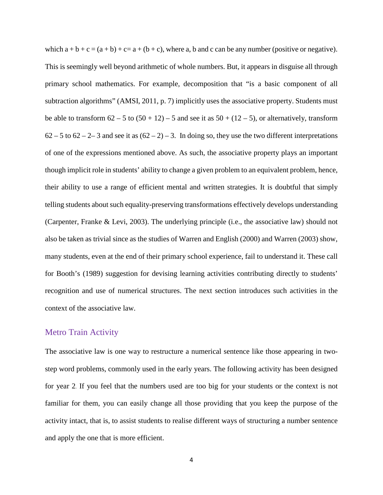which  $a + b + c = (a + b) + c = a + (b + c)$ , where a, b and c can be any number (positive or negative). This is seemingly well beyond arithmetic of whole numbers. But, it appears in disguise all through primary school mathematics. For example, decomposition that "is a basic component of all subtraction algorithms" (AMSI, 2011, p. 7) implicitly uses the associative property. Students must be able to transform  $62 - 5$  to  $(50 + 12) - 5$  and see it as  $50 + (12 - 5)$ , or alternatively, transform  $62 - 5$  to  $62 - 2 - 3$  and see it as  $(62 - 2) - 3$ . In doing so, they use the two different interpretations of one of the expressions mentioned above. As such, the associative property plays an important though implicit role in students' ability to change a given problem to an equivalent problem, hence, their ability to use a range of efficient mental and written strategies. It is doubtful that simply telling students about such equality-preserving transformations effectively develops understanding (Carpenter, Franke & Levi, 2003). The underlying principle (i.e., the associative law) should not also be taken as trivial since as the studies of Warren and English (2000) and Warren (2003) show, many students, even at the end of their primary school experience, fail to understand it. These call for Booth's (1989) suggestion for devising learning activities contributing directly to students' recognition and use of numerical structures. The next section introduces such activities in the context of the associative law.

#### Metro Train Activity

The associative law is one way to restructure a numerical sentence like those appearing in twostep word problems, commonly used in the early years. The following activity has been designed for year 2. If you feel that the numbers used are too big for your students or the context is not familiar for them, you can easily change all those providing that you keep the purpose of the activity intact, that is, to assist students to realise different ways of structuring a number sentence and apply the one that is more efficient.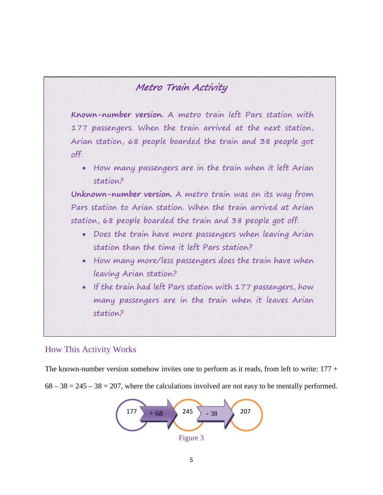## Metro Train Activity

**Known-number version.** A metro train left Pars station with 177 passengers. When the train arrived at the next station, Arian station, 68 people boarded the train and 38 people got off.

• How many passengers are in the train when it left Arian station?

**Unknown-number version.** A metro train was on its way from Pars station to Arian station. When the train arrived at Arian station, 68 people boarded the train and 38 people got off.

- Does the train have more passengers when leaving Arian station than the time it left Pars station?
- How many more/less passengers does the train have when leaving Arian station?
- If the train had left Pars station with 177 passengers, how many passengers are in the train when it leaves Arian station?

### How This Activity Works

The known-number version somehow invites one to perform as it reads, from left to write:  $177 +$ 

 $68 - 38 = 245 - 38 = 207$ , where the calculations involved are not easy to be mentally performed.

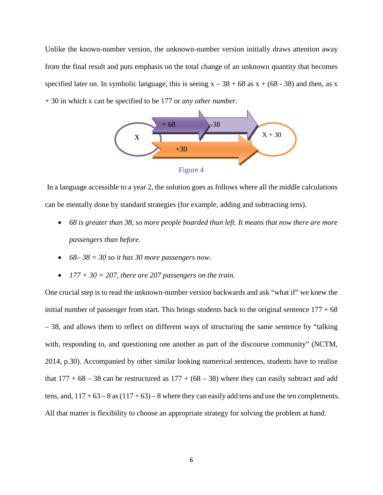Unlike the known-number version, the unknown-number version initially draws attention away from the final result and puts emphasis on the total change of an unknown quantity that becomes specified later on. In symbolic language, this is seeing  $x - 38 + 68$  as  $x + (68 - 38)$  and then, as x + 30 in which x can be specified to be 177 or *any other number*.



In a language accessible to a year 2, the solution goes as follows where all the middle calculations can be mentally done by standard strategies (for example, adding and subtracting tens).

- *68 is greater than 38, so more people boarded than left. It means that now there are more passengers than before.*
- $68 38 = 30$  *so it has* 30 *more* passengers now.
- $177 + 30 = 207$ , there are 207 passengers on the train.

One crucial step is to read the unknown-number version backwards and ask "what if" we knew the initial number of passenger from start. This brings students back to the original sentence  $177 + 68$ – 38, and allows them to reflect on different ways of structuring the same sentence by "talking with, responding to, and questioning one another as part of the discourse community" (NCTM, 2014, p.30). Accompanied by other similar looking numerical sentences, students have to realise that  $177 + 68 - 38$  can be restructured as  $177 + (68 - 38)$  where they can easily subtract and add tens, and,  $117 + 63 - 8$  as  $(117 + 63) - 8$  where they can easily add tens and use the ten complements. All that matter is flexibility to choose an appropriate strategy for solving the problem at hand.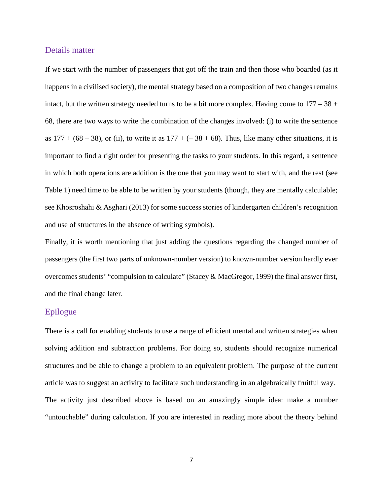#### Details matter

If we start with the number of passengers that got off the train and then those who boarded (as it happens in a civilised society), the mental strategy based on a composition of two changes remains intact, but the written strategy needed turns to be a bit more complex. Having come to  $177 - 38 +$ 68, there are two ways to write the combination of the changes involved: (i) to write the sentence as  $177 + (68 - 38)$ , or (ii), to write it as  $177 + (-38 + 68)$ . Thus, like many other situations, it is important to find a right order for presenting the tasks to your students. In this regard, a sentence in which both operations are addition is the one that you may want to start with, and the rest (see Table 1) need time to be able to be written by your students (though, they are mentally calculable; see Khosroshahi & Asghari (2013) for some success stories of kindergarten children's recognition and use of structures in the absence of writing symbols).

Finally, it is worth mentioning that just adding the questions regarding the changed number of passengers (the first two parts of unknown-number version) to known-number version hardly ever overcomes students' "compulsion to calculate" (Stacey & MacGregor, 1999) the final answer first, and the final change later.

### Epilogue

There is a call for enabling students to use a range of efficient mental and written strategies when solving addition and subtraction problems. For doing so, students should recognize numerical structures and be able to change a problem to an equivalent problem. The purpose of the current article was to suggest an activity to facilitate such understanding in an algebraically fruitful way. The activity just described above is based on an amazingly simple idea: make a number "untouchable" during calculation. If you are interested in reading more about the theory behind